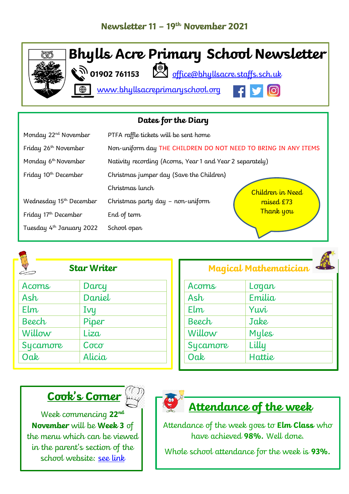

| Dates for the Diary                  |                                                                |                  |  |
|--------------------------------------|----------------------------------------------------------------|------------------|--|
| Monday 22 <sup>nd</sup> November     | PTFA raffle tickets will be sent home                          |                  |  |
| Friday 26 <sup>th</sup> November     | Non-uniform day THE CHILDREN DO NOT NEED TO BRING IN ANY ITEMS |                  |  |
| Monday 6 <sup>th</sup> November      | Nativity recording (Acorns, Year 1 and Year 2 separately)      |                  |  |
| Friday 10 <sup>th</sup> December     | Christmas jumper day (Save the Children)                       |                  |  |
|                                      | Christmas lunch                                                | Children in Need |  |
| Wednesday 15 <sup>th</sup> December  | Christmas party day - non-uniform                              | raised £73       |  |
| Friday $17th$ December               | End of term                                                    | Thank you        |  |
| Tuesday 4 <sup>th</sup> January 2022 | School open                                                    |                  |  |

| Acorns   | Darcy          |
|----------|----------------|
| Ash      | Daniel         |
| $E$ lm   | Ivy            |
| Beech    | Piper          |
| Willow   | Liza           |
| Sycamore | C <sub>q</sub> |
| Oak      | Alicia         |

| Acorns   | Logan  |
|----------|--------|
| Ash      | Emilia |
| $E$ lm   | Yuvi   |
| Beech    | Jake   |
| Willow   | Myles  |
| Sycamore | Lilly  |
| Oak      | Hattie |

**Magical Mathematician**



Week commencing **22nd November** will be **Week 3** of the menu which can be viewed in the parent's section of the school website: [see link](https://www.bhyllsacreprimaryschool.org/parents/school-meals)



## **Attendance of the week**

Attendance of the week goes to **Elm Class** who have achieved **98%.** Well done.

Whole school attendance for the week is **93%.**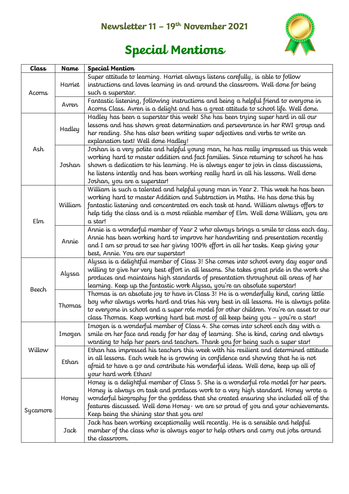## **Newsletter 11 – 19th November 2021**



## **Special Mentions**

| Class        | <b>Name</b> | <b>Special Mention</b>                                                                     |
|--------------|-------------|--------------------------------------------------------------------------------------------|
| Acorns       |             | Super attitude to learning. Harriet always listens carefully, is able to follow            |
|              | Harriet     | instructions and loves learning in and around the classroom. Well done for being           |
|              |             | such a superstar.                                                                          |
|              | Avren       | Fantastic listening, following instructions and being a helpful friend to everyone in      |
|              |             | Acorns Class. Avren is a delight and has a great attitude to school life. Well done.       |
|              |             | Hadley has been a superstar this week! She has been trying super hard in all our           |
|              | Hadley      | lessons and has shown great determination and perseverance in her RWI group and            |
|              |             | her reading. She has also been writing super adjectives and verbs to write an              |
|              |             | explanation text! Well done Hadley!                                                        |
| Ash          |             | Joshan is a very polite and helpful young man, he has really impressed us this week        |
|              |             | working hard to master addition and fact families. Since returning to school he has        |
|              | Joshan      | shown a dedication to his learning. He is always eager to join in class discussions,       |
|              |             | he listens intently and has been working really hard in all his lessons. Well done         |
|              |             | Joshan, you are a superstar!                                                               |
|              |             | William is such a talented and helpful young man in Year 2. This week he has been          |
|              |             | working hard to master Addition and Subtraction in Maths. He has done this by              |
|              | William     | fantastic listening and concentrated on each task at hand. William always offers to        |
|              |             | help tidy the class and is a most reliable member of Elm. Well done William, you are       |
| Elm          |             | a star!                                                                                    |
|              |             | Annie is a wonderful member of Year 2 who always brings a smile to class each day.         |
|              | Annie       | Annie has been working hard to improve her handwriting and presentation recently           |
|              |             | and I am so proud to see her giving 100% effort in all her tasks. Keep giving your         |
|              |             | best, Annie. You are our superstar!                                                        |
|              |             | Alyssa is a delightful member of Class 3! She comes into school every day eager and        |
|              | Alyssa      | willing to give her very best effort in all lessons. She takes great pride in the work she |
|              |             | produces and maintains high standards of presentation throughout all areas of her          |
| <b>Beech</b> |             | learning. Keep up the fantastic work Alyssa, you're an absolute superstar!                 |
|              |             | Thomas is an absolute joy to have in Class 3! He is a wonderfully kind, caring little      |
|              | Thomas      | boy who always works hard and tries his very best in all lessons. He is always polite      |
|              |             | to everyone in school and a super role model for other children. You're an asset to our    |
|              |             | class Thomas. Keep working hard but most of all keep being you - you're a star!            |
|              | Imogen      | Imogen is a wonderful member of Class 4. She comes into school each day with a             |
|              |             | smile on her face and ready for her day of learning. She is kind, caring and always        |
|              |             | wanting to help her peers and teachers. Thank you for being such a super star!             |
| Willow       | Ethan       | Ethan has impressed his teachers this week with his resilient and determined attitude      |
|              |             | in all lessons. Each week he is growing in confidence and showing that he is not           |
|              |             | afraid to have a go and contribute his wonderful ideas. Well done, keep up all of          |
|              |             | your hard work Ethan!                                                                      |
|              |             | Honey is a delightful member of Class 5. She is a wonderful role model for her peers.      |
|              | Honey       | Honey is always on task and produces work to a very high standard. Honey wrote a           |
|              |             | wonderful biography for the goddess that she created ensuring she included all of the      |
|              |             | features discussed. Well done Honey- we are so proud of you and your achievements.         |
| Sycamore     |             | Keep being the shining star that you are!                                                  |
|              |             | Jack has been working exceptionally well recently. He is a sensible and helpful            |
|              | Jack        | member of the class who is always eager to help others and carry out jobs around           |
|              |             | the classroom.                                                                             |